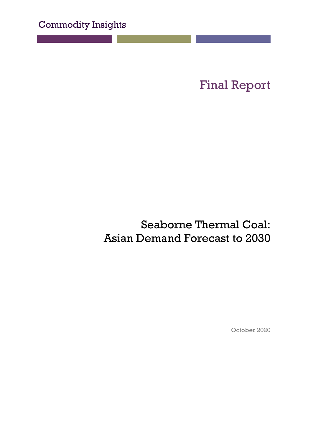Final Report

## Seaborne Thermal Coal: Asian Demand Forecast to 2030

October 2020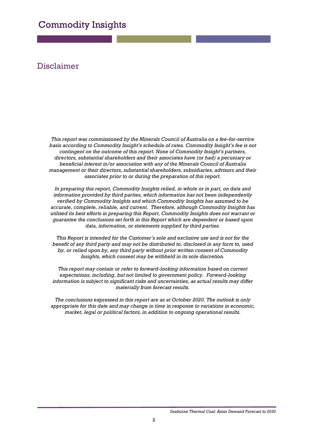#### Disclaimer

*This report was commissioned by the Minerals Council of Australia on a fee-for-service basis according to Commodity Insight's schedule of rates. Commodity Insight's fee is not contingent on the outcome of this report. None of Commodity Insight's partners, directors, substantial shareholders and their associates have (or had) a pecuniary or beneficial interest in/or association with any of the Minerals Council of Australia management or their directors, substantial shareholders, subsidiaries, advisors and their associates prior to or during the preparation of this report.*

*In preparing this report, Commodity Insights relied, in whole or in part, on data and information provided by third parties, which information has not been independently verified by Commodity Insights and which Commodity Insights has assumed to be accurate, complete, reliable, and current. Therefore, although Commodity Insights has utilised its best efforts in preparing this Report, Commodity Insights does not warrant or guarantee the conclusions set forth in this Report which are dependent or based upon data, information, or statements supplied by third parties.*

*This Report is intended for the Customer's sole and exclusive use and is not for the benefit of any third party and may not be distributed to, disclosed in any form to, used by, or relied upon by, any third party without prior written consent of Commodity Insights, which consent may be withheld in its sole discretion.*

*This report may contain or refer to forward-looking information based on current expectations, including, but not limited to government policy. Forward-looking information is subject to significant risks and uncertainties, as actual results may differ materially from forecast results.*

*The conclusions expressed in this report are as at October 2020. The outlook is only appropriate for this date and may change in time in response to variations in economic, market, legal or political factors, in addition to ongoing operational results.*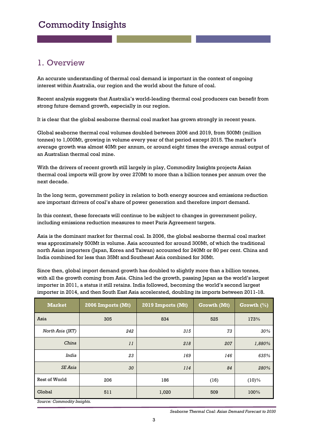#### 1. Overview

An accurate understanding of thermal coal demand is important in the context of ongoing interest within Australia, our region and the world about the future of coal.

Recent analysis suggests that Australia's world-leading thermal coal producers can benefit from strong future demand growth, especially in our region.

It is clear that the global seaborne thermal coal market has grown strongly in recent years.

Global seaborne thermal coal volumes doubled between 2006 and 2019, from 500Mt (million tonnes) to 1,000Mt, growing in volume every year of that period except 2015. The market's average growth was almost 40Mt per annum, or around eight times the average annual output of an Australian thermal coal mine.

With the drivers of recent growth still largely in play, Commodity Insights projects Asian thermal coal imports will grow by over 270Mt to more than a billion tonnes per annum over the next decade.

In the long term, government policy in relation to both energy sources and emissions reduction are important drivers of coal's share of power generation and therefore import demand.

In this context, these forecasts will continue to be subject to changes in government policy, including emissions reduction measures to meet Paris Agreement targets.

Asia is the dominant market for thermal coal. In 2006, the global seaborne thermal coal market was approximately 500Mt in volume. Asia accounted for around 300Mt, of which the traditional north Asian importers (Japan, Korea and Taiwan) accounted for 240Mt or 80 per cent. China and India combined for less than 35Mt and Southeast Asia combined for 30Mt.

Since then, global import demand growth has doubled to slightly more than a billion tonnes, with all the growth coming from Asia. China led the growth, passing Japan as the world's largest importer in 2011, a status it still retains. India followed, becoming the world's second largest importer in 2014, and then South East Asia accelerated, doubling its imports between 2011-18.

| <b>Market</b>         | 2006 Imports (Mt) | 2019 Imports (Mt) | Growth (Mt) | Growth $(\%)$ |
|-----------------------|-------------------|-------------------|-------------|---------------|
| Asia                  | 305               | 834               | 525         | 173%          |
| North Asia (JKT)      | 242               | 315               | 73          | 30%           |
| China                 | 11                | 218               | 207         | 1,880%        |
| India                 | 23                | 169               | 146         | 635%          |
| <i><b>SE Asia</b></i> | 30                | 114               | 84          | 280%          |
| Rest of World         | 206               | 186               | (16)        | $(10)\%$      |
| Global                | 511               | 1,020             | 509         | 100%          |

*Source: Commodity Insights.* 

*Seaborne Thermal Coal: Asian Demand Forecast to 2030*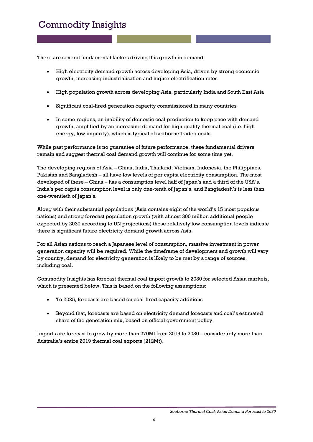There are several fundamental factors driving this growth in demand:

- High electricity demand growth across developing Asia, driven by strong economic growth, increasing industrialisation and higher electrification rates
- High population growth across developing Asia, particularly India and South East Asia
- Significant coal-fired generation capacity commissioned in many countries
- In some regions, an inability of domestic coal production to keep pace with demand growth, amplified by an increasing demand for high quality thermal coal (i.e. high energy, low impurity), which is typical of seaborne traded coals.

While past performance is no guarantee of future performance, these fundamental drivers remain and suggest thermal coal demand growth will continue for some time yet.

The developing regions of Asia – China, India, Thailand, Vietnam, Indonesia, the Philippines, Pakistan and Bangladesh – all have low levels of per capita electricity consumption. The most developed of these – China – has a consumption level half of Japan's and a third of the USA's. India's per capita consumption level is only one-tenth of Japan's, and Bangladesh's is less than one-twentieth of Japan's.

Along with their substantial populations (Asia contains eight of the world's 15 most populous nations) and strong forecast population growth (with almost 300 million additional people expected by 2030 according to UN projections) these relatively low consumption levels indicate there is significant future electricity demand growth across Asia.

For all Asian nations to reach a Japanese level of consumption, massive investment in power generation capacity will be required. While the timeframe of development and growth will vary by country, demand for electricity generation is likely to be met by a range of sources, including coal.

Commodity Insights has forecast thermal coal import growth to 2030 for selected Asian markets, which is presented below. This is based on the following assumptions:

- To 2025, forecasts are based on coal-fired capacity additions
- Beyond that, forecasts are based on electricity demand forecasts and coal's estimated share of the generation mix, based on official government policy.

Imports are forecast to grow by more than 270Mt from 2019 to 2030 – considerably more than Australia's entire 2019 thermal coal exports (212Mt).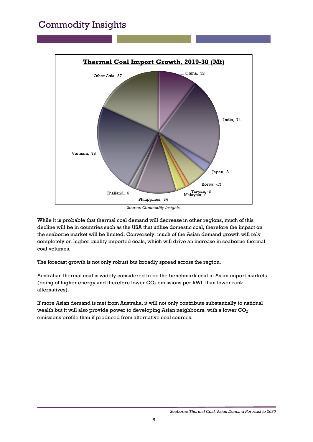

*Source: Commodity Insights.*

While it is probable that thermal coal demand will decrease in other regions, much of this decline will be in countries such as the USA that utilise domestic coal, therefore the impact on the seaborne market will be limited. Conversely, much of the Asian demand growth will rely completely on higher quality imported coals, which will drive an increase in seaborne thermal coal volumes.

The forecast growth is not only robust but broadly spread across the region.

Australian thermal coal is widely considered to be the benchmark coal in Asian import markets (being of higher energy and therefore lower  $CO<sub>2</sub>$  emissions per kWh than lower rank alternatives).

If more Asian demand is met from Australia, it will not only contribute substantially to national wealth but it will also provide power to developing Asian neighbours, with a lower  $CO<sub>2</sub>$ emissions profile than if produced from alternative coal sources.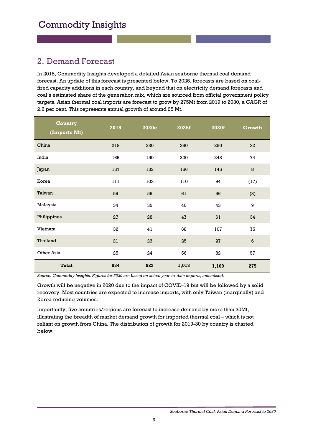#### 2. Demand Forecast

In 2018, Commodity Insights developed a detailed Asian seaborne thermal coal demand forecast. An update of this forecast is presented below. To 2025, forecasts are based on coalfired capacity additions in each country, and beyond that on electricity demand forecasts and coal's estimated share of the generation mix, which are sourced from official government policy targets. Asian thermal coal imports are forecast to grow by 275Mt from 2019 to 2030, a CAGR of 2.6 per cent. This represents annual growth of around 25 Mt.

| <b>Country</b><br>(Imports Mt) | 2019 | 2020e | 2025f | 2030f | Growth           |
|--------------------------------|------|-------|-------|-------|------------------|
| China                          | 218  | 230   | 250   | 250   | 32               |
| India                          | 169  | 150   | 200   | 243   | 74               |
| Japan                          | 137  | 132   | 156   | 145   | $\bf8$           |
| Korea                          | 111  | 103   | 110   | 94    | (17)             |
| Taiwan                         | 59   | 56    | 61    | 56    | (3)              |
| Malaysia                       | 34   | 35    | 40    | 43    | 9                |
| Philippines                    | 27   | 28    | 47    | 61    | 34               |
| Vietnam                        | 32   | 41    | 68    | 107   | 75               |
| Thailand                       | 21   | 23    | 25    | 27    | $\boldsymbol{6}$ |
| Other Asia                     | 25   | 24    | 56    | 82    | 57               |
| <b>Total</b>                   | 834  | 822   | 1,013 | 1,109 | 275              |

*Source: Commodity Insights. Figures for 2020 are based on actual year-to-date imports, annualised.*

Growth will be negative in 2020 due to the impact of COVID-19 but will be followed by a solid recovery. Most countries are expected to increase imports, with only Taiwan (marginally) and Korea reducing volumes.

Importantly, five countries/regions are forecast to increase demand by more than 30Mt, illustrating the breadth of market demand growth for imported thermal coal – which is not reliant on growth from China. The distribution of growth for 2019-30 by country is charted below.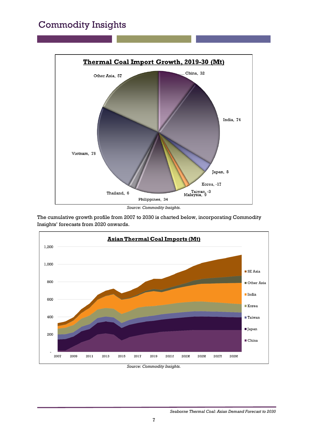

*Source: Commodity Insights.*

The cumulative growth profile from 2007 to 2030 is charted below, incorporating Commodity Insights' forecasts from 2020 onwards.



|  | Source: Commodity Insights. |  |
|--|-----------------------------|--|
|--|-----------------------------|--|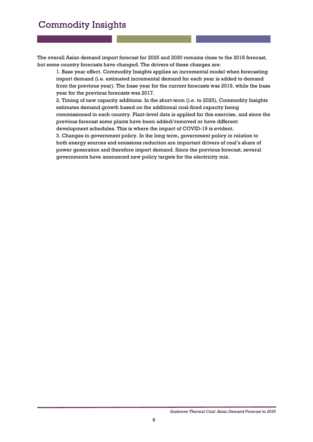The overall Asian demand import forecast for 2025 and 2030 remains close to the 2018 forecast, but some country forecasts have changed. The drivers of these changes are:

1. Base year effect. Commodity Insights applies an incremental model when forecasting import demand (i.e. estimated incremental demand for each year is added to demand from the previous year). The base year for the current forecasts was 2019, while the base year for the previous forecasts was 2017.

2. Timing of new capacity additions. In the short-term (i.e. to 2025), Commodity Insights estimates demand growth based on the additional coal-fired capacity being commissioned in each country. Plant-level data is applied for this exercise, and since the previous forecast some plants have been added/removed or have different development schedules. This is where the impact of COVID-19 is evident.

3. Changes in government policy. In the long term, government policy in relation to both energy sources and emissions reduction are important drivers of coal's share of power generation and therefore import demand. Since the previous forecast, several governments have announced new policy targets for the electricity mix.